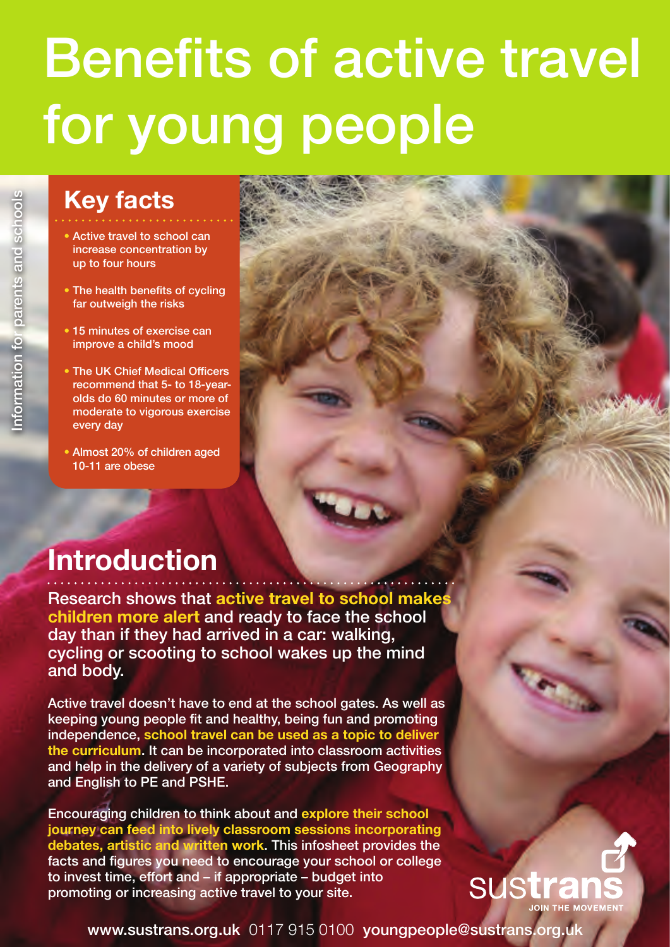### **Key facts**

- Active travel to school can increase concentration by up to four hours
- The health benefits of cycling far outweigh the risks
- 15 minutes of exercise can improve a child's mood
- The UK Chief Medical Officers recommend that 5- to 18-yearolds do 60 minutes or more of moderate to vigorous exercise every day
- Almost 20% of children aged 10-11 are obese

### **Introduction**

Research shows that **active travel to school makes children more alert** and ready to face the school day than if they had arrived in a car: walking, cycling or scooting to school wakes up the mind and body.

Active travel doesn't have to end at the school gates. As well as keeping young people fit and healthy, being fun and promoting independence, **school travel can be used as a topic to deliver the curriculum**. It can be incorporated into classroom activities and help in the delivery of a variety of subjects from Geography and English to PE and PSHE.

Encouraging children to think about and **explore their school journey can feed into lively classroom sessions incorporating debates, artistic and written work**. This infosheet provides the facts and figures you need to encourage your school or college to invest time, effort and – if appropriate – budget into promoting or increasing active travel to your site.



www.sustrans.org.uk 0117 915 0100 youngpeople@sustrans.org.uk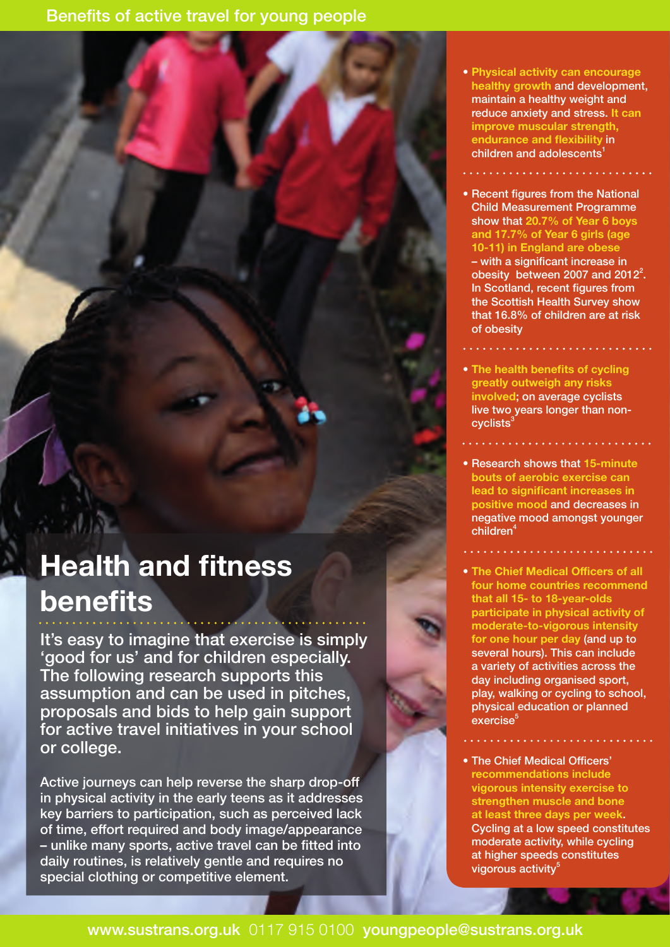# **Health and fitness benefits**

It's easy to imagine that exercise is simply 'good for us' and for children especially. The following research supports this assumption and can be used in pitches, proposals and bids to help gain support for active travel initiatives in your school or college.

Active journeys can help reverse the sharp drop-off in physical activity in the early teens as it addresses key barriers to participation, such as perceived lack of time, effort required and body image/appearance – unlike many sports, active travel can be fitted into daily routines, is relatively gentle and requires no special clothing or competitive element.

- **Physical activity can encourage healthy growth** and development, maintain a healthy weight and reduce anxiety and stress. **It can improve muscular strength, endurance and flexibility** in children and adolescents<sup>1</sup>
- Recent figures from the National Child Measurement Programme show that **20.7% of Year 6 boys and 17.7% of Year 6 girls (age 10-11) in England are obese** – with a significant increase in obesity between 2007 and  $2012^2$ . In Scotland, recent figures from the Scottish Health Survey show that 16.8% of children are at risk of obesity
- **The health benefits of cycling greatly outweigh any risks involved**; on average cyclists live two years longer than non $cyclic$
- Research shows that **15-minute bouts of aerobic exercise can lead to significant increases in positive mood** and decreases in negative mood amongst younger children<sup>4</sup>
- 
- **The Chief Medical Officers of all four home countries recommend that all 15- to 18-year-olds participate in physical activity of moderate-to-vigorous intensity for one hour per day** (and up to several hours). This can include a variety of activities across the day including organised sport, play, walking or cycling to school, physical education or planned exercise
- The Chief Medical Officers' **recommendations include vigorous intensity exercise to strengthen muscle and bone at least three days per week**. Cycling at a low speed constitutes moderate activity, while cycling at higher speeds constitutes vigorous activity<sup>5</sup>

www.sustrans.org.uk 0117 915 0100 youngpeople@sustrans.org.uk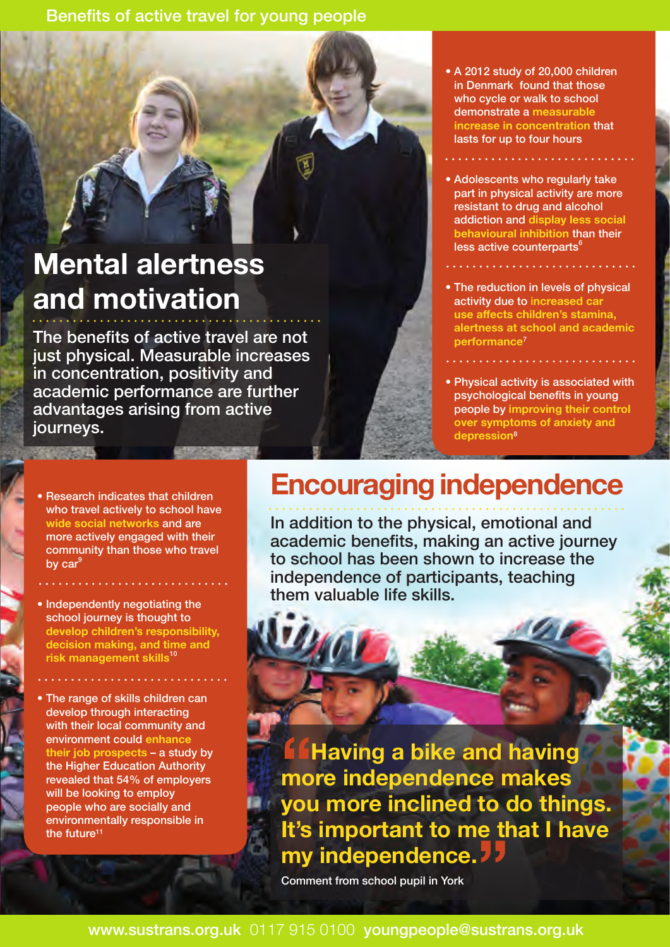## **Mental alertness and motivation**

The benefits of active travel are not just physical. Measurable increases in concentration, positivity and academic performance are further advantages arising from active journeys.

- Research indicates that children who travel actively to school have **wide social networks** and are more actively engaged with their community than those who travel by  $car<sup>9</sup>$
- Independently negotiating the school journey is thought to **develop children's responsibility, decision making, and time and risk management skills**<sup>10</sup>
- The range of skills children can develop through interacting with their local community and environment could **enhance their job prospects** – a study by the Higher Education Authority revealed that 54% of employers will be looking to employ people who are socially and environmentally responsible in the future<sup>11</sup>
- A 2012 study of 20,000 children in Denmark found that those who cycle or walk to school demonstrate a **measurable increase in concentration** that lasts for up to four hours
- Adolescents who regularly take part in physical activity are more resistant to drug and alcohol addiction and **display less social behavioural inhibition** than their less active counterparts<sup>6</sup>
- The reduction in levels of physical activity due to i**ncreased car use affects children's stamina, alertness at school and academic performance**<sup>7</sup>
- Physical activity is associated with psychological benefits in young people by **improving their control over symptoms of anxiety and depression**<sup>8</sup>

# **Encouraging independence**

In addition to the physical, emotional and academic benefits, making an active journey to school has been shown to increase the independence of participants, teaching them valuable life skills.

**ffHaving a bike and having more independence makes you more inclined to do things. It's important to me that I have my independence. 77**<br> **Comment from school pupil in York** 

Comment from school pupil in York